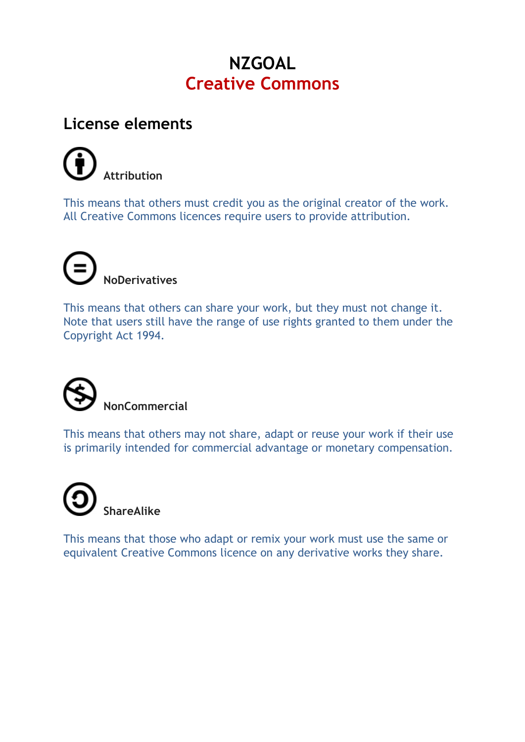## **NZGOAL Creative Commons**

## **License elements**



This means that others must credit you as the original creator of the work. All Creative Commons licences require users to provide attribution.



This means that others can share your work, but they must not change it. Note that users still have the range of use rights granted to them under the Copyright Act 1994.



This means that others may not share, adapt or reuse your work if their use is primarily intended for commercial advantage or monetary compensation.



This means that those who adapt or remix your work must use the same or equivalent Creative Commons licence on any derivative works they share.